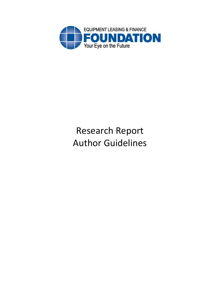

# Research Report Author Guidelines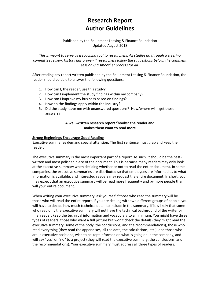## **Research Report Author Guidelines**

### Published by the Equipment Leasing & Finance Foundation Updated August 2018

*This is meant to serve as a coaching tool to researchers. All studies go through a steering committee review. History has proven if researchers follow the suggestions below, the comment session is a smoother process for all.*

After reading any report written published by the Equipment Leasing & Finance Foundation, the reader should be able to answer the following questions:

- 1. How can I, the reader, use this study?
- 2. How can I implement the study findings within my company?
- 3. How can I improve my business based on findings?
- 4. How do the findings apply within the industry?
- 5. Did the study leave me with unanswered questions? How/where will I get those answers?

#### **A well-written research report "hooks" the reader and makes them want to read more.**

#### **Strong Beginnings Encourage Good Reading**

Executive summaries demand special attention. The first sentence must grab and keep the reader.

The executive summary is the most important part of a report. As such, it should be the bestwritten and most polished piece of the document. This is because many readers may only look at the executive summary when deciding whether or not to read the entire document. In some companies, the executive summaries are distributed so that employees are informed as to what information is available, and interested readers may request the entire document. In short, you may expect that an executive summary will be read more frequently and by more people than will your entire document.

When writing your executive summary, ask yourself if those who read the summary will be those who will read the entire report. If you are dealing with two different groups of people, you will have to decide how much technical detail to include in the summary. If it is likely that some who read only the executive summary will not have the technical background of the writer or final reader, keep the technical information and vocabulary to a minimum. You might have three types of readers: those who want a full picture but won't check the details (they might read the executive summary, some of the body, the conclusions, and the recommendations), those who read everything (they read the appendixes, all the data, the calculations, etc.), and those who are in executive positions, wish to be kept informed on what is going on in the company, and will say "yes" or "no" to a project (they will read the executive summary, the conclusions, and the recommendations). Your executive summary must address all three types of readers.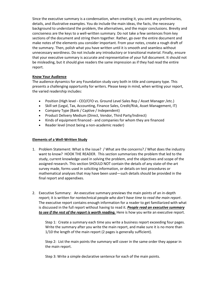Since the executive summary is a condensation, when creating it, you omit any preliminaries, details, and illustrative examples. You do include the main ideas, the facts, the necessary background to understand the problem, the alternatives, and the major conclusions. Brevity and conciseness are the keys to a well-written summary. Do not take a few sentences from key sections of the document and string them together. Rather, go over the entire document and make notes of the elements you consider important. From your notes, create a rough draft of the summary. Then, polish what you have written until it is smooth and seamless without unnecessary wordiness. Do not include any introductory or transitional material. Finally, ensure that your executive summary is accurate and representative of your full document. It should not be misleading, but it should give readers the same impression as if they had read the entire report.

#### **Know Your Audience**

The audience dynamics for any Foundation study vary both in title and company type. This presents a challenging opportunity for writers. Please keep in mind, when writing your report, the varied readership includes:

- Position (High level CEO/CFO vs. Ground Level Sales Rep / Asset Manager /etc.)
- Skill set (Legal, Tax, Accounting, Finance Sales, Credit/Risk, Asset Management, IT)
- Company Type (Bank / Captive / Independent)
- Product Delivery Medium (Direct, Vendor, Third Party/Indirect)
- Kinds of equipment financed and companies for whom they are financed
- Reader level (most being a non-academic reader)

#### **Elements of a Well-Written Study**

- 1. Problem Statement: What is the issue? / What are the concerns? / What does the industry want to know? HOOK THE READER. This section summarizes the problem that led to the study, current knowledge used in solving the problem, and the objectives and scope of the assigned research. This section SHOULD NOT contain the details of any state-of-the-art survey made, forms used in soliciting information, or details on test procedures or mathematical analyses that may have been used—such details should be provided in the final report and appendixes.
- 2. Executive Summary: An executive summary previews the main points of an in-depth report; it is written for nontechnical people *who don't have time to read the main report*. The executive report contains enough information for a reader to get familiarized with what is discussed in the full report without having to read it. *People read an executive summary to see if the rest of the report is worth reading.* Here is how you write an executive report.

Step 1: Create a summary each time you write a business report exceeding four pages. Write the summary after you write the main report, and make sure it is no more than 1/10 the length of the main report (2 pages is generally sufficient).

Step 2: List the main points the summary will cover in the same order they appear in the main report.

Step 3: Write a simple declarative sentence for each of the main points.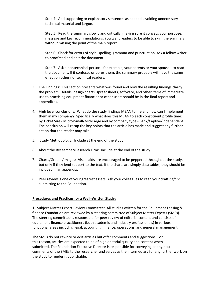Step 4: Add supporting or explanatory sentences as needed, avoiding unnecessary technical material and jargon.

Step 5: Read the summary slowly and critically, making sure it conveys your purpose, message and key recommendations. You want readers to be able to skim the summary without missing the point of the main report.

Step 6: Check for errors of style, spelling, grammar and punctuation. Ask a fellow writer to proofread and edit the document.

Step 7: Ask a nontechnical person - for example, your parents or your spouse - to read the document. If it confuses or bores them, the summary probably will have the same effect on other nontechnical readers.

- 3. The Findings: This section presents what was found and how the resulting findings clarify the problem. Details, design charts, spreadsheets, software, and other items of immediate use to practicing equipment financier or other users should be in the final report and appendixes.
- 4. High level conclusions: What do the study findings MEAN to me and how can I implement them in my company? Specifically what does this MEAN to each constituent profile time: by Ticket Size - Micro/Small/Mid/Large and by company type - Bank/Captive/Independent. The conclusion will recap the key points that the article has made and suggest any further action that the reader may take.
- 5. Study Methodology: Include at the end of the study.
- 6. About the Researcher/Research Firm: Include at the end of the study.
- 7. Charts/Graphs/Images: Visual aids are encouraged to be peppered throughout the study, but only if they lend support to the text. If the charts are simply data tables, they should be included in an appendix.
- 8. Peer review is one of your greatest assets. Ask your colleagues to read your draft *before*  submitting to the Foundation.

#### **Procedures and Practices for a Well-Written Study:**

1. Subject Matter Expert Review Committee: All studies written for the Equipment Leasing & finance Foundation are reviewed by a steering committee of Subject Matter Experts (SMEs). The steering committee is responsible for peer review of editorial content and consists of equipment finance practitioners (both academic and industry professionals) in various functional areas including legal, accounting, finance, operations, and general management.

The SMEs do not rewrite or edit articles but offer comments and suggestions. For this reason, articles are expected to be of high editorial quality and content when submitted. The Foundation Executive Director is responsible for conveying anonymous comments of the SMEs to the researcher and serves as the intermediary for any further work on the study to render it publishable.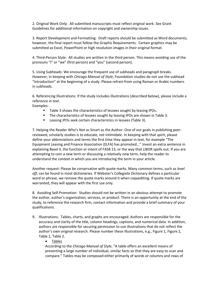2. Original Work Only: All submitted manuscripts must reflect original work. See Grant Guidelines for additional information on copyright and ownership issues.

3. Report Development and Formatting: Draft reports should be submitted as Word documents; however, the final report must follow the Graphic Requirements. Certain graphics may be submitted as Excel, PowerPoint or high resolution images in their original format.

4. Third-Person Style: All studies are written in the third person. This means avoiding use of the pronouns "I" or "we" (first person) and "you" (second person).

5. Using Subheads: We encourage the frequent use of subheads and paragraph breaks. However, in keeping with *Chicago Manual of Style*, Foundation studies do not use the subhead "Introduction" at the beginning of a study. Please refrain from using Roman or Arabic numbers in subheads.

6. Referencing Illustrations: If the study includes illustrations (described below), please include a reference *in text*.

Examples:

- Table 3 shows the characteristics of lessees sought by leasing IPOs.
- The characteristics of lessees sought by leasing IPOs are shown in Table 3.
- Leasing IPOs seek certain characteristics in lessees (Table 3).

7. Helping the Reader Who's Not as Smart as the Author: One of our goals in publishing peerreviewed, scholarly studies is to educate, not intimidate. In keeping with that spirit, please define your abbreviations and terms the first time they appear in text, for example "The Equipment Leasing and Finance Association (ELFA) has promoted..." Invest an extra sentence in explaining Basel II, the function or intent of FASB 13, or the way that LIBOR spells out. If you are attempting to coin a new term or discussing a relatively new term, help the reader to understand the context in which you are introducing the term in your article.

Another request: Please be conservative with quote marks. Many common terms, such as *level off*, can be found in most dictionaries. If Webster's Collegiate Dictionary defines a particular word or phrase, we remove the quote marks around it when copyediting. If quote marks are warranted, they will appear with the first use only.

8. Avoiding Self-Promotion: Studies should not be written in an obvious attempt to promote the author, author's organization, services, or product. There is an opportunity at the end of the study, to reference the research firm, contact information and provide a brief summary of your qualifications.

9. Illustrations: Tables, charts, and graphs are encouraged. Authors are responsible for the accuracy and clarity of the title, column headings, captions, and numerical data. In addition, authors are responsible for securing permission to use illustrations that do not reflect the author's own original research. Please number these illustrations, e.g., Figure 1, Figure 2, Table 1, Table 2.

#### • Tables

According to the *Chicago Manual of Style*, "A table offers an excellent means of presenting a large number of individual, similar facts so that they are easy to scan and compare." Tables may be composed either primarily of words or columns and rows of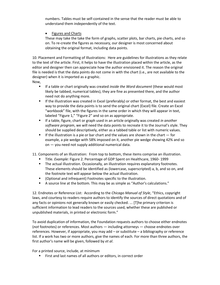numbers. Tables must be self-contained in the sense that the reader must be able to understand them independently of the text.

**Figures and Charts** 

These may take the take the form of graphs, scatter plots, bar charts, pie charts, and so on. To re-create the figures as necessary, our designer is most concerned about obtaining the original format, including data points.

10. Placement and Formatting of Illustrations: Here are guidelines for illustrations as they relate to the text of the article. First, it helps to have the illustration placed within the article, as the editor and designer then can appreciate how the author envisioned it. The reason the original file is needed is that the data points do not come in with the chart (i.e., are not available to the designer) when it is imported as a graphic.

Now,

- If a table or chart originally was created *inside the Word document* (these would most likely be tabbed, numerical tables), they are fine as presented there, and the author need not do anything more.
- **■** If the illustration was created in Excel (preferably) or other format, the best and easiest way to provide the data points is to send the original chart (Excel) file. Create an Excel "workbook" file, with the figures in the same order in which they will appear in text, labeled "Figure 1," "Figure 2" and so on as appropriate.
- If a table, figure, chart or graph used in an article originally was created *in another software program*, we will need the data points to recreate it to the Journal's style. They should be supplied descriptively, either as a tabbed table or list with numeric values.
- $\blacksquare$  If the illustration is a pie or bar chart and the values are shown in the chart  $\ightharpoonup$  for example, a pie wedge with 58% imposed on it, another pie wedge showing 42% and so on — you need not supply additional numerical data.

11. Components of an Illustration: From top to bottom, these items comprise an illustration.

- Title. *Example:* Figure 2. Percentage of GDP Spent on Healthcare, 1960- 1999
- **•** The actual illustration. Occasionally, an illustration requires explanatory footnotes. These elements should be identified as (lowercase, superscripted) a, b, and so on, and the footnote text will appear below the actual illustration.
- (Optional and infrequent) Footnotes specific to the illustration.
- A source line at the bottom. This may be as simple as "Author's calculations."

12. Endnotes or Reference List: According to the *Chicago Manual of Style*, "Ethics, copyright laws, and courtesy to readers require authors to identify the sources of direct quotations and of any facts or opinions not generally known or easily checked. ... [T]he primary criterion is sufficient information to lead readers to the sources used, whether these are published or unpublished materials, in printed or electronic form."

To avoid duplication of information, the Foundation requests authors to choose either endnotes (*not* footnotes) or references. Most authors — including attorneys — choose endnotes over references. However, if appropriate, you may add – or substitute – a bibliography or reference list. If a work has two or more authors, give the names of each. For more than three authors, the first author's name will be given, followed by *et al*.

For a printed source, include, at minimum

■ First and last names of all authors or editors, in correct order